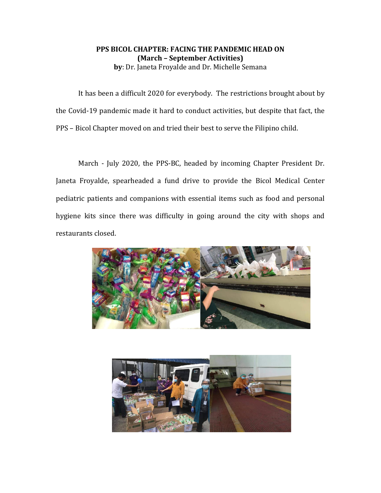## **PPS BICOL CHAPTER: FACING THE PANDEMIC HEAD ON (March – September Activities) by**: Dr. Janeta Froyalde and Dr. Michelle Semana

It has been a difficult 2020 for everybody. The restrictions brought about by the Covid-19 pandemic made it hard to conduct activities, but despite that fact, the PPS – Bicol Chapter moved on and tried their best to serve the Filipino child.

March - July 2020, the PPS-BC, headed by incoming Chapter President Dr. Janeta Froyalde, spearheaded a fund drive to provide the Bicol Medical Center pediatric patients and companions with essential items such as food and personal hygiene kits since there was difficulty in going around the city with shops and restaurants closed.



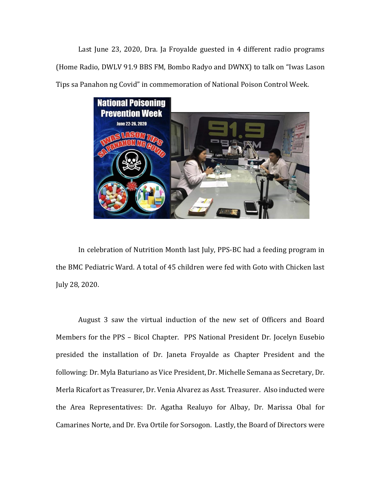Last June 23, 2020, Dra. Ja Froyalde guested in 4 different radio programs (Home Radio, DWLV 91.9 BBS FM, Bombo Radyo and DWNX) to talk on "Iwas Lason Tips sa Panahon ng Covid" in commemoration of National Poison Control Week.



In celebration of Nutrition Month last July, PPS-BC had a feeding program in the BMC Pediatric Ward. A total of 45 children were fed with Goto with Chicken last July 28, 2020.

August 3 saw the virtual induction of the new set of Officers and Board Members for the PPS – Bicol Chapter. PPS National President Dr. Jocelyn Eusebio presided the installation of Dr. Janeta Froyalde as Chapter President and the following: Dr. Myla Baturiano as Vice President, Dr. Michelle Semana as Secretary, Dr. Merla Ricafort as Treasurer, Dr. Venia Alvarez as Asst. Treasurer. Also inducted were the Area Representatives: Dr. Agatha Realuyo for Albay, Dr. Marissa Obal for Camarines Norte, and Dr. Eva Ortile for Sorsogon. Lastly, the Board of Directors were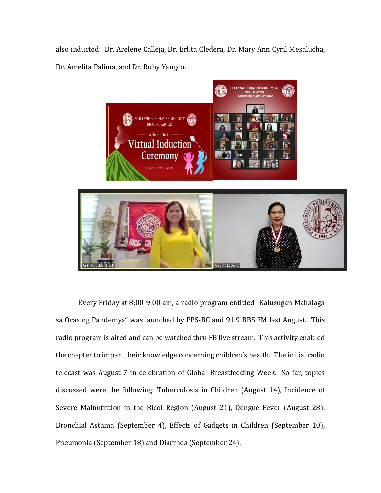also inducted: Dr. Arelene Calleja, Dr. Erlita Cledera, Dr. Mary Ann Cyril Mesalucha, Dr. Amelita Palima, and Dr. Ruby Yangco.



Every Friday at 8:00-9:00 am, a radio program entitled "Kalusugan Mahalaga sa Oras ng Pandemya" was launched by PPS-BC and 91.9 BBS FM last August. This radio program is aired and can be watched thru FB live stream. This activity enabled the chapter to impart their knowledge concerning children's health. The initial radio telecast was August 7 in celebration of Global Breastfeeding Week. So far, topics discussed were the following: Tuberculosis in Children (August 14), Incidence of Severe Malnutrition in the Bicol Region (August 21), Dengue Fever (August 28), Bronchial Asthma (September 4), Effects of Gadgets in Children (September 10), Pneumonia (September 18) and Diarrhea (September 24).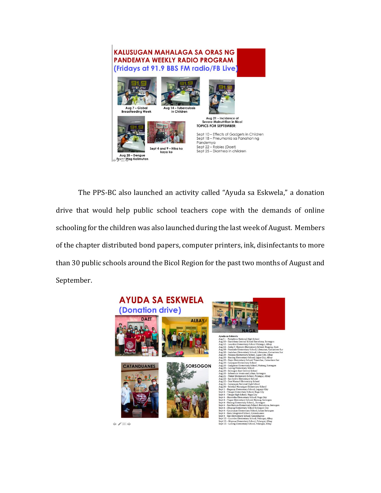

The PPS-BC also launched an activity called "Ayuda sa Eskwela," a donation drive that would help public school teachers cope with the demands of online schooling for the children was also launched during the last week of August. Members of the chapter distributed bond papers, computer printers, ink, disinfectants to more than 30 public schools around the Bicol Region for the past two months of August and September.